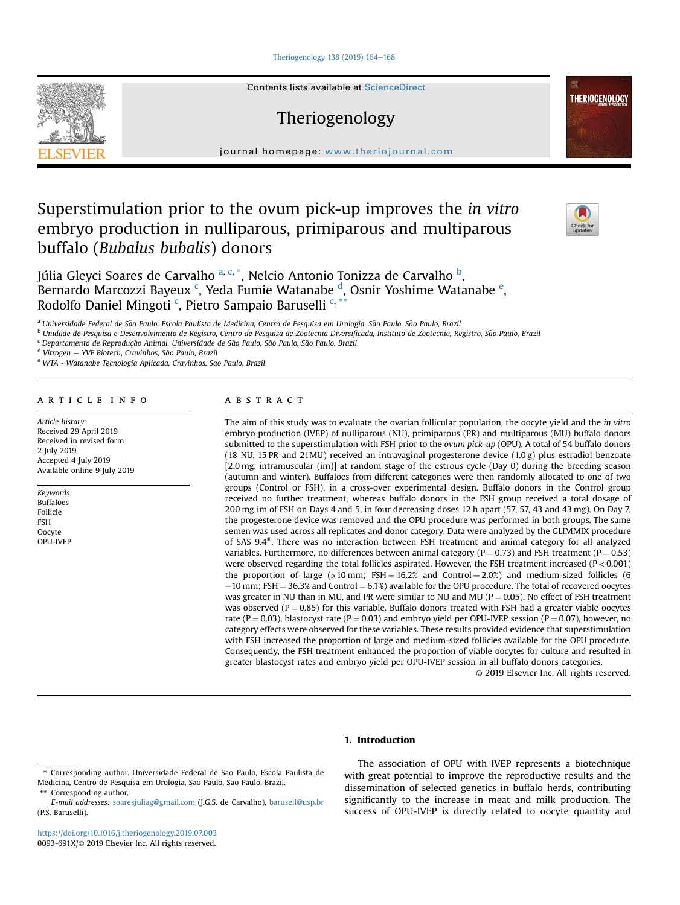### [Theriogenology 138 \(2019\) 164](https://doi.org/10.1016/j.theriogenology.2019.07.003)-[168](https://doi.org/10.1016/j.theriogenology.2019.07.003)



Contents lists available at ScienceDirect

# Theriogenology

journal homepage: <www.theriojournal.com>

# Superstimulation prior to the ovum pick-up improves the in vitro embryo production in nulliparous, primiparous and multiparous buffalo (Bubalus bubalis) donors



**THERIOGENOLOGY** 

Júlia Gleyci Soares de Carvalho <sup>a, c,</sup> \*, Nelcio Antonio Tonizza de Carvalho <sup>b</sup>, Bernardo Marcozzi Bayeux <sup>c</sup>, Yeda Fumie Watanabe <sup>d</sup>, Osnir Yoshime Watanabe <sup>e</sup>, Rodolfo Daniel Mingoti<sup>c</sup>, Pietro Sampaio Baruselli<sup>c, \*\*</sup>

<sup>a</sup> Universidade Federal de São Paulo, Escola Paulista de Medicina, Centro de Pesquisa em Urologia, São Paulo, São Paulo, Brazil

<sup>b</sup> Unidade de Pesquisa e Desenvolvimento de Registro, Centro de Pesquisa de Zootecnia Diversificada, Instituto de Zootecnia, Registro, Sao Paulo, Brazil ~

c Departamento de Reprodução Animal, Universidade de São Paulo, São Paulo, São Paulo, Brazil

<sup>d</sup> Vitrogen - YVF Biotech, Cravinhos, São Paulo, Brazil

e WTA - Watanabe Tecnologia Aplicada, Cravinhos, São Paulo, Brazil

#### article info

Article history: Received 29 April 2019 Received in revised form 2 July 2019 Accepted 4 July 2019 Available online 9 July 2019

Keywords: Buffaloes Follicle FSH **Oocyte** OPU-IVEP

#### **ABSTRACT**

The aim of this study was to evaluate the ovarian follicular population, the oocyte yield and the in vitro embryo production (IVEP) of nulliparous (NU), primiparous (PR) and multiparous (MU) buffalo donors submitted to the superstimulation with FSH prior to the ovum pick-up (OPU). A total of 54 buffalo donors (18 NU, 15 PR and 21MU) received an intravaginal progesterone device (1.0 g) plus estradiol benzoate [2.0 mg, intramuscular (im)] at random stage of the estrous cycle (Day 0) during the breeding season (autumn and winter). Buffaloes from different categories were then randomly allocated to one of two groups (Control or FSH), in a cross-over experimental design. Buffalo donors in the Control group received no further treatment, whereas buffalo donors in the FSH group received a total dosage of 200 mg im of FSH on Days 4 and 5, in four decreasing doses 12 h apart (57, 57, 43 and 43 mg). On Day 7, the progesterone device was removed and the OPU procedure was performed in both groups. The same semen was used across all replicates and donor category. Data were analyzed by the GLIMMIX procedure of SAS  $9.4^{\circ}$ . There was no interaction between FSH treatment and animal category for all analyzed variables. Furthermore, no differences between animal category ( $P = 0.73$ ) and FSH treatment ( $P = 0.53$ ) were observed regarding the total follicles aspirated. However, the FSH treatment increased  $(P < 0.001)$ the proportion of large ( $>10$  mm; FSH = 16.2% and Control = 2.0%) and medium-sized follicles (6  $-10$  mm; FSH = 36.3% and Control = 6.1%) available for the OPU procedure. The total of recovered oocytes was greater in NU than in MU, and PR were similar to NU and MU ( $P = 0.05$ ). No effect of FSH treatment was observed ( $P = 0.85$ ) for this variable. Buffalo donors treated with FSH had a greater viable oocytes rate (P = 0.03), blastocyst rate (P = 0.03) and embryo yield per OPU-IVEP session (P = 0.07), however, no category effects were observed for these variables. These results provided evidence that superstimulation with FSH increased the proportion of large and medium-sized follicles available for the OPU procedure. Consequently, the FSH treatment enhanced the proportion of viable oocytes for culture and resulted in greater blastocyst rates and embryo yield per OPU-IVEP session in all buffalo donors categories.

© 2019 Elsevier Inc. All rights reserved.

## 1. Introduction

The association of OPU with IVEP represents a biotechnique with great potential to improve the reproductive results and the dissemination of selected genetics in buffalo herds, contributing significantly to the increase in meat and milk production. The success of OPU-IVEP is directly related to oocyte quantity and

<sup>\*</sup> Corresponding author. Universidade Federal de Sao Paulo, Escola Paulista de ~ Medicina, Centro de Pesquisa em Urologia, São Paulo, São Paulo, Brazil. \*\* Corresponding author.

E-mail addresses: [soaresjuliag@gmail.com](mailto:soaresjuliag@gmail.com) (J.G.S. de Carvalho), [barusell@usp.br](mailto:barusell@usp.br) (P.S. Baruselli).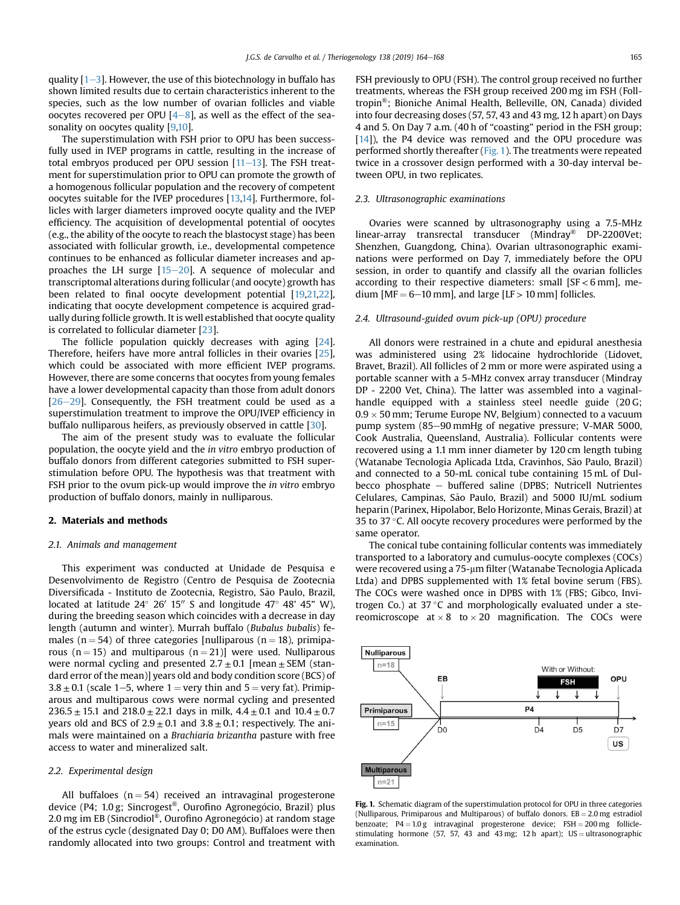quality  $[1-3]$  $[1-3]$  $[1-3]$  $[1-3]$ . However, the use of this biotechnology in buffalo has shown limited results due to certain characteristics inherent to the species, such as the low number of ovarian follicles and viable oocytes recovered per OPU  $[4-8]$  $[4-8]$  $[4-8]$ , as well as the effect of the sea-sonality on oocytes quality [\[9,10](#page-4-0)].

The superstimulation with FSH prior to OPU has been successfully used in IVEP programs in cattle, resulting in the increase of total embryos produced per OPU session  $[11–13]$  $[11–13]$  $[11–13]$  $[11–13]$  $[11–13]$ . The FSH treatment for superstimulation prior to OPU can promote the growth of a homogenous follicular population and the recovery of competent oocytes suitable for the IVEP procedures [\[13,14\]](#page-4-0). Furthermore, follicles with larger diameters improved oocyte quality and the IVEP efficiency. The acquisition of developmental potential of oocytes (e.g., the ability of the oocyte to reach the blastocyst stage) has been associated with follicular growth, i.e., developmental competence continues to be enhanced as follicular diameter increases and approaches the LH surge  $[15-20]$  $[15-20]$  $[15-20]$ . A sequence of molecular and transcriptomal alterations during follicular (and oocyte) growth has been related to final oocyte development potential [\[19](#page-4-0),[21,22\]](#page-4-0), indicating that oocyte development competence is acquired gradually during follicle growth. It is well established that oocyte quality is correlated to follicular diameter [\[23\]](#page-4-0).

The follicle population quickly decreases with aging [\[24\]](#page-4-0). Therefore, heifers have more antral follicles in their ovaries [\[25\]](#page-4-0), which could be associated with more efficient IVEP programs. However, there are some concerns that oocytes from young females have a lower developmental capacity than those from adult donors  $[26-29]$  $[26-29]$  $[26-29]$ . Consequently, the FSH treatment could be used as a superstimulation treatment to improve the OPU/IVEP efficiency in buffalo nulliparous heifers, as previously observed in cattle [[30](#page-4-0)].

The aim of the present study was to evaluate the follicular population, the oocyte yield and the in vitro embryo production of buffalo donors from different categories submitted to FSH superstimulation before OPU. The hypothesis was that treatment with FSH prior to the ovum pick-up would improve the *in vitro* embryo production of buffalo donors, mainly in nulliparous.

#### 2. Materials and methods

#### 2.1. Animals and management

This experiment was conducted at Unidade de Pesquisa e Desenvolvimento de Registro (Centro de Pesquisa de Zootecnia Diversificada - Instituto de Zootecnia, Registro, São Paulo, Brazil, located at latitude 24° 26′ 15″ S and longitude 47° 48' 45" W), during the breeding season which coincides with a decrease in day length (autumn and winter). Murrah buffalo (Bubalus bubalis) females ( $n = 54$ ) of three categories [nulliparous ( $n = 18$ ), primiparous ( $n = 15$ ) and multiparous ( $n = 21$ )] were used. Nulliparous were normal cycling and presented  $2.7 \pm 0.1$  [mean  $\pm$  SEM (standard error of the mean)] years old and body condition score (BCS) of  $3.8 \pm 0.1$  (scale 1–5, where 1 = very thin and 5 = very fat). Primiparous and multiparous cows were normal cycling and presented 236.5  $\pm$  15.1 and 218.0  $\pm$  22.1 days in milk, 4.4  $\pm$  0.1 and 10.4  $\pm$  0.7 years old and BCS of  $2.9 \pm 0.1$  and  $3.8 \pm 0.1$ ; respectively. The animals were maintained on a Brachiaria brizantha pasture with free access to water and mineralized salt.

#### 2.2. Experimental design

All buffaloes  $(n = 54)$  received an intravaginal progesterone device (P4; 1.0 g; Sincrogest®, Ourofino Agronegócio, Brazil) plus 2.0 mg im EB (Sincrodiol®, Ourofino Agronegócio) at random stage of the estrus cycle (designated Day 0; D0 AM). Buffaloes were then randomly allocated into two groups: Control and treatment with FSH previously to OPU (FSH). The control group received no further treatments, whereas the FSH group received 200 mg im FSH (Folltropin®; Bioniche Animal Health, Belleville, ON, Canada) divided into four decreasing doses (57, 57, 43 and 43 mg, 12 h apart) on Days 4 and 5. On Day 7 a.m. (40 h of "coasting" period in the FSH group; [\[14](#page-4-0)]), the P4 device was removed and the OPU procedure was performed shortly thereafter (Fig. 1). The treatments were repeated twice in a crossover design performed with a 30-day interval between OPU, in two replicates.

#### 2.3. Ultrasonographic examinations

Ovaries were scanned by ultrasonography using a 7.5-MHz linear-array transrectal transducer (Mindray® DP-2200Vet; Shenzhen, Guangdong, China). Ovarian ultrasonographic examinations were performed on Day 7, immediately before the OPU session, in order to quantify and classify all the ovarian follicles according to their respective diameters: small [SF < 6 mm], medium [MF  $= 6 - 10$  mm], and large [LF  $> 10$  mm] follicles.

#### 2.4. Ultrasound-guided ovum pick-up (OPU) procedure

All donors were restrained in a chute and epidural anesthesia was administered using 2% lidocaine hydrochloride (Lidovet, Bravet, Brazil). All follicles of 2 mm or more were aspirated using a portable scanner with a 5-MHz convex array transducer (Mindray DP - 2200 Vet, China). The latter was assembled into a vaginalhandle equipped with a stainless steel needle guide (20 G;  $0.9 \times 50$  mm; Terume Europe NV, Belgium) connected to a vacuum pump system (85–90 mmHg of negative pressure; V-MAR 5000, Cook Australia, Queensland, Australia). Follicular contents were recovered using a 1.1 mm inner diameter by 120 cm length tubing (Watanabe Tecnologia Aplicada Ltda, Cravinhos, São Paulo, Brazil) and connected to a 50-mL conical tube containing 15 mL of Dulbecco phosphate  $-$  buffered saline (DPBS; Nutricell Nutrientes Celulares, Campinas, São Paulo, Brazil) and 5000 IU/mL sodium heparin (Parinex, Hipolabor, Belo Horizonte, Minas Gerais, Brazil) at 35 to 37 $\degree$ C. All oocyte recovery procedures were performed by the same operator.

The conical tube containing follicular contents was immediately transported to a laboratory and cumulus-oocyte complexes (COCs) were recovered using a 75-um filter (Watanabe Tecnologia Aplicada Ltda) and DPBS supplemented with 1% fetal bovine serum (FBS). The COCs were washed once in DPBS with 1% (FBS; Gibco, Invitrogen Co.) at  $37^{\circ}$ C and morphologically evaluated under a stereomicroscope at  $\times$  8 to  $\times$  20 magnification. The COCs were



Fig. 1. Schematic diagram of the superstimulation protocol for OPU in three categories (Nulliparous, Primiparous and Multiparous) of buffalo donors.  $EB = 2.0$  mg estradiol benzoate;  $P4 = 1.0 g$  intravaginal progesterone device;  $FSH = 200 mg$  folliclestimulating hormone (57, 57, 43 and 43 mg; 12 h apart);  $US =$  ultrasonographic examination.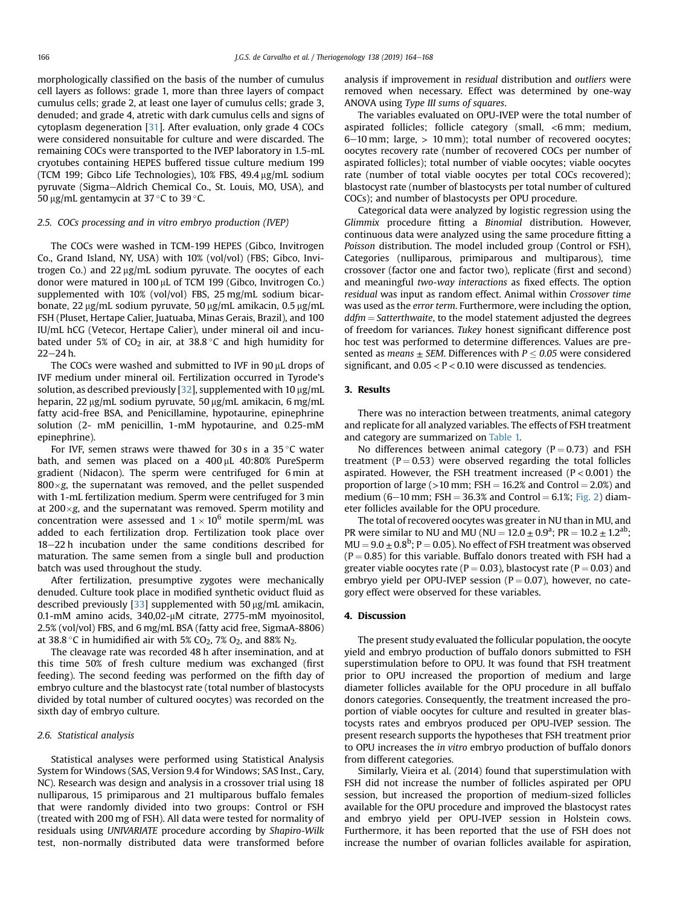morphologically classified on the basis of the number of cumulus cell layers as follows: grade 1, more than three layers of compact cumulus cells; grade 2, at least one layer of cumulus cells; grade 3, denuded; and grade 4, atretic with dark cumulus cells and signs of cytoplasm degeneration [\[31](#page-4-0)]. After evaluation, only grade 4 COCs were considered nonsuitable for culture and were discarded. The remaining COCs were transported to the IVEP laboratory in 1.5-mL cryotubes containing HEPES buffered tissue culture medium 199 (TCM 199; Gibco Life Technologies), 10% FBS, 49.4 µg/mL sodium pyruvate (Sigma-Aldrich Chemical Co., St. Louis, MO, USA), and 50  $\mu$ g/mL gentamycin at 37 °C to 39 °C.

### 2.5. COCs processing and in vitro embryo production (IVEP)

The COCs were washed in TCM-199 HEPES (Gibco, Invitrogen Co., Grand Island, NY, USA) with 10% (vol/vol) (FBS; Gibco, Invitrogen Co.) and  $22 \mu g/mL$  sodium pyruvate. The oocytes of each donor were matured in  $100 \mu$ L of TCM 199 (Gibco, Invitrogen Co.) supplemented with 10% (vol/vol) FBS, 25 mg/mL sodium bicarbonate, 22 µg/mL sodium pyruvate, 50 µg/mL amikacin, 0.5 µg/mL FSH (Pluset, Hertape Calier, Juatuaba, Minas Gerais, Brazil), and 100 IU/mL hCG (Vetecor, Hertape Calier), under mineral oil and incubated under 5% of CO<sub>2</sub> in air, at 38.8  $^{\circ}$ C and high humidity for  $22 - 24 h$ .

The COCs were washed and submitted to IVF in  $90 \mu$ L drops of IVF medium under mineral oil. Fertilization occurred in Tyrode's solution, as described previously [[32](#page-4-0)], supplemented with 10  $\mu$ g/mL heparin, 22 µg/mL sodium pyruvate, 50 µg/mL amikacin, 6 mg/mL fatty acid-free BSA, and Penicillamine, hypotaurine, epinephrine solution (2- mM penicillin, 1-mM hypotaurine, and 0.25-mM epinephrine).

For IVF, semen straws were thawed for 30s in a 35  $^{\circ}$ C water bath, and semen was placed on a  $400 \mu$ L  $40:80\%$  PureSperm gradient (Nidacon). The sperm were centrifuged for 6 min at  $800 \times g$ , the supernatant was removed, and the pellet suspended with 1-mL fertilization medium. Sperm were centrifuged for 3 min at  $200\times g$ , and the supernatant was removed. Sperm motility and concentration were assessed and  $1 \times 10^6$  motile sperm/mL was added to each fertilization drop. Fertilization took place over 18-22 h incubation under the same conditions described for maturation. The same semen from a single bull and production batch was used throughout the study.

After fertilization, presumptive zygotes were mechanically denuded. Culture took place in modified synthetic oviduct fluid as described previously  $[33]$  supplemented with 50  $\mu$ g/mL amikacin, 0.1-mM amino acids, 340,02-mM citrate, 2775-mM myoinositol, 2.5% (vol/vol) FBS, and 6 mg/mL BSA (fatty acid free, SigmaA-8806) at 38.8 °C in humidified air with 5% CO<sub>2</sub>, 7% O<sub>2</sub>, and 88% N<sub>2</sub>.

The cleavage rate was recorded 48 h after insemination, and at this time 50% of fresh culture medium was exchanged (first feeding). The second feeding was performed on the fifth day of embryo culture and the blastocyst rate (total number of blastocysts divided by total number of cultured oocytes) was recorded on the sixth day of embryo culture.

#### 2.6. Statistical analysis

Statistical analyses were performed using Statistical Analysis System for Windows (SAS, Version 9.4 for Windows; SAS Inst., Cary, NC). Research was design and analysis in a crossover trial using 18 nulliparous, 15 primiparous and 21 multiparous buffalo females that were randomly divided into two groups: Control or FSH (treated with 200 mg of FSH). All data were tested for normality of residuals using UNIVARIATE procedure according by Shapiro-Wilk test, non-normally distributed data were transformed before analysis if improvement in residual distribution and outliers were removed when necessary. Effect was determined by one-way ANOVA using Type III sums of squares.

The variables evaluated on OPU-IVEP were the total number of aspirated follicles; follicle category (small, <6 mm; medium,  $6-10$  mm; large,  $> 10$  mm); total number of recovered oocytes; oocytes recovery rate (number of recovered COCs per number of aspirated follicles); total number of viable oocytes; viable oocytes rate (number of total viable oocytes per total COCs recovered); blastocyst rate (number of blastocysts per total number of cultured COCs); and number of blastocysts per OPU procedure.

Categorical data were analyzed by logistic regression using the Glimmix procedure fitting a Binomial distribution. However, continuous data were analyzed using the same procedure fitting a Poisson distribution. The model included group (Control or FSH), Categories (nulliparous, primiparous and multiparous), time crossover (factor one and factor two), replicate (first and second) and meaningful two-way interactions as fixed effects. The option residual was input as random effect. Animal within Crossover time was used as the error term. Furthermore, were including the option,  $ddfm = Satterthwaite$ , to the model statement adjusted the degrees of freedom for variances. Tukey honest significant difference post hoc test was performed to determine differences. Values are presented as means  $\pm$  SEM. Differences with  $P \leq 0.05$  were considered significant, and  $0.05 < P < 0.10$  were discussed as tendencies.

# 3. Results

There was no interaction between treatments, animal category and replicate for all analyzed variables. The effects of FSH treatment and category are summarized on [Table 1.](#page-3-0)

No differences between animal category ( $P = 0.73$ ) and FSH treatment ( $P = 0.53$ ) were observed regarding the total follicles aspirated. However, the FSH treatment increased  $(P < 0.001)$  the proportion of large ( $>10$  mm; FSH = 16.2% and Control = 2.0%) and medium (6–10 mm; FSH = 36.3% and Control =  $6.1\%$ ; [Fig. 2\)](#page-3-0) diameter follicles available for the OPU procedure.

The total of recovered oocytes was greater in NU than in MU, and PR were similar to NU and MU (NU =  $12.0 \pm 0.9^{\circ}$ ; PR =  $10.2 \pm 1.2^{\circ}$ );  $MU = 9.0 \pm 0.8^b$ ; P = 0.05). No effect of FSH treatment was observed  $(P = 0.85)$  for this variable. Buffalo donors treated with FSH had a greater viable oocytes rate ( $P = 0.03$ ), blastocyst rate ( $P = 0.03$ ) and embryo yield per OPU-IVEP session ( $P = 0.07$ ), however, no category effect were observed for these variables.

# 4. Discussion

The present study evaluated the follicular population, the oocyte yield and embryo production of buffalo donors submitted to FSH superstimulation before to OPU. It was found that FSH treatment prior to OPU increased the proportion of medium and large diameter follicles available for the OPU procedure in all buffalo donors categories. Consequently, the treatment increased the proportion of viable oocytes for culture and resulted in greater blastocysts rates and embryos produced per OPU-IVEP session. The present research supports the hypotheses that FSH treatment prior to OPU increases the in vitro embryo production of buffalo donors from different categories.

Similarly, Vieira et al. (2014) found that superstimulation with FSH did not increase the number of follicles aspirated per OPU session, but increased the proportion of medium-sized follicles available for the OPU procedure and improved the blastocyst rates and embryo yield per OPU-IVEP session in Holstein cows. Furthermore, it has been reported that the use of FSH does not increase the number of ovarian follicles available for aspiration,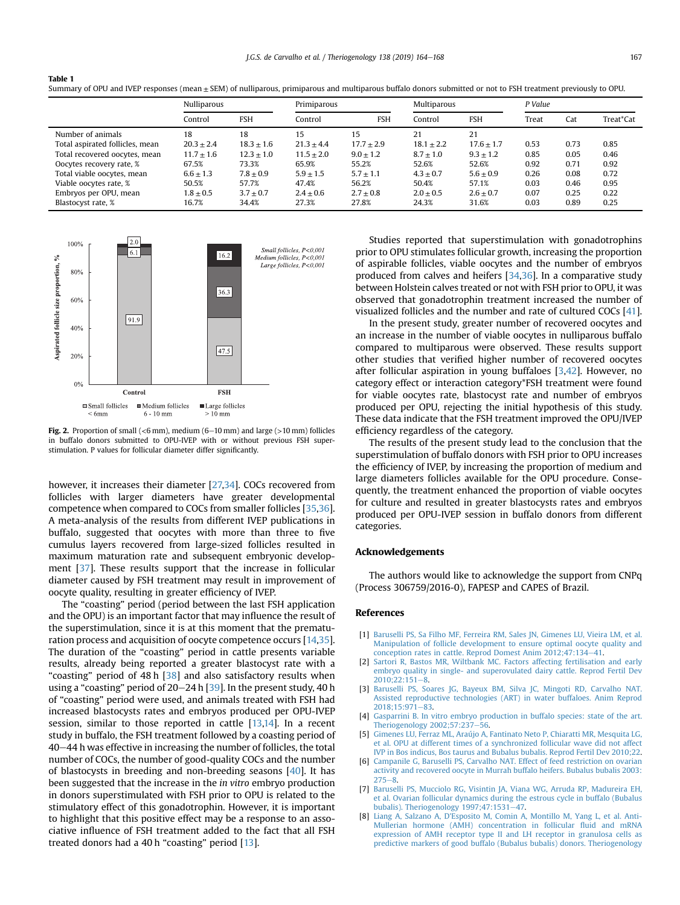|                                 | Nulliparous    |              | Primiparous   |               | Multiparous   |                | P Value |      |           |
|---------------------------------|----------------|--------------|---------------|---------------|---------------|----------------|---------|------|-----------|
|                                 | Control        | <b>FSH</b>   | Control       | <b>FSH</b>    | Control       | <b>FSH</b>     | Treat   | Cat  | Treat*Cat |
| Number of animals               | 18             | 18           | 15            | 15            | 21            | 21             |         |      |           |
| Total aspirated follicles, mean | $20.3 \pm 2.4$ | $18.3 + 1.6$ | $21.3 + 4.4$  | $17.7 + 2.9$  | $18.1 + 2.2$  | $17.6 \pm 1.7$ | 0.53    | 0.73 | 0.85      |
| Total recovered oocytes, mean   | $11.7 \pm 1.6$ | $12.3 + 1.0$ | $11.5 + 2.0$  | $9.0 \pm 1.2$ | $8.7 \pm 1.0$ | $9.3 \pm 1.2$  | 0.85    | 0.05 | 0.46      |
| Oocytes recovery rate, %        | 67.5%          | 73.3%        | 65.9%         | 55.2%         | 52.6%         | 52.6%          | 0.92    | 0.71 | 0.92      |
| Total viable oocytes, mean      | $6.6 \pm 1.3$  | $7.8 + 0.9$  | $5.9 \pm 1.5$ | $5.7 + 1.1$   | $4.3 + 0.7$   | $5.6 + 0.9$    | 0.26    | 0.08 | 0.72      |
| Viable oocytes rate, %          | 50.5%          | 57.7%        | 47.4%         | 56.2%         | 50.4%         | 57.1%          | 0.03    | 0.46 | 0.95      |
| Embryos per OPU, mean           | $1.8 \pm 0.5$  | $3.7 + 0.7$  | $2.4 \pm 0.6$ | $2.7 + 0.8$   | $2.0 + 0.5$   | $2.6 + 0.7$    | 0.07    | 0.25 | 0.22      |
| Blastocyst rate, %              | 16.7%          | 34.4%        | 27.3%         | 27.8%         | 24.3%         | 31.6%          | 0.03    | 0.89 | 0.25      |

<span id="page-3-0"></span>



Fig. 2. Proportion of small (<6 mm), medium (6–10 mm) and large (>10 mm) follicles in buffalo donors submitted to OPU-IVEP with or without previous FSH superstimulation. P values for follicular diameter differ significantly.

however, it increases their diameter [[27,34\]](#page-4-0). COCs recovered from follicles with larger diameters have greater developmental competence when compared to COCs from smaller follicles [[35,36\]](#page-4-0). A meta-analysis of the results from different IVEP publications in buffalo, suggested that oocytes with more than three to five cumulus layers recovered from large-sized follicles resulted in maximum maturation rate and subsequent embryonic development [[37\]](#page-4-0). These results support that the increase in follicular diameter caused by FSH treatment may result in improvement of oocyte quality, resulting in greater efficiency of IVEP.

The "coasting" period (period between the last FSH application and the OPU) is an important factor that may influence the result of the superstimulation, since it is at this moment that the prematuration process and acquisition of oocyte competence occurs [\[14,35\]](#page-4-0). The duration of the "coasting" period in cattle presents variable results, already being reported a greater blastocyst rate with a "coasting" period of 48 h [\[38\]](#page-4-0) and also satisfactory results when using a "coasting" period of  $20-24$  h  $[39]$ . In the present study, 40 h of "coasting" period were used, and animals treated with FSH had increased blastocysts rates and embryos produced per OPU-IVEP session, similar to those reported in cattle [[13,14\]](#page-4-0). In a recent study in buffalo, the FSH treatment followed by a coasting period of 40–44 h was effective in increasing the number of follicles, the total number of COCs, the number of good-quality COCs and the number of blastocysts in breeding and non-breeding seasons [[40](#page-4-0)]. It has been suggested that the increase in the in vitro embryo production in donors superstimulated with FSH prior to OPU is related to the stimulatory effect of this gonadotrophin. However, it is important to highlight that this positive effect may be a response to an associative influence of FSH treatment added to the fact that all FSH treated donors had a 40 h "coasting" period [[13](#page-4-0)].

Studies reported that superstimulation with gonadotrophins prior to OPU stimulates follicular growth, increasing the proportion of aspirable follicles, viable oocytes and the number of embryos produced from calves and heifers [[34,36\]](#page-4-0). In a comparative study between Holstein calves treated or not with FSH prior to OPU, it was observed that gonadotrophin treatment increased the number of visualized follicles and the number and rate of cultured COCs [[41\]](#page-4-0).

In the present study, greater number of recovered oocytes and an increase in the number of viable oocytes in nulliparous buffalo compared to multiparous were observed. These results support other studies that verified higher number of recovered oocytes after follicular aspiration in young buffaloes [3,[42](#page-4-0)]. However, no category effect or interaction category\*FSH treatment were found for viable oocytes rate, blastocyst rate and number of embryos produced per OPU, rejecting the initial hypothesis of this study. These data indicate that the FSH treatment improved the OPU/IVEP efficiency regardless of the category.

The results of the present study lead to the conclusion that the superstimulation of buffalo donors with FSH prior to OPU increases the efficiency of IVEP, by increasing the proportion of medium and large diameters follicles available for the OPU procedure. Consequently, the treatment enhanced the proportion of viable oocytes for culture and resulted in greater blastocysts rates and embryos produced per OPU-IVEP session in buffalo donors from different categories.

#### Acknowledgements

The authors would like to acknowledge the support from CNPq (Process 306759/2016-0), FAPESP and CAPES of Brazil.

#### References

- [1] [Baruselli PS, Sa Filho MF, Ferreira RM, Sales JN, Gimenes LU, Vieira LM, et al.](http://refhub.elsevier.com/S0093-691X(19)30286-9/sref1) [Manipulation of follicle development to ensure optimal oocyte quality and](http://refhub.elsevier.com/S0093-691X(19)30286-9/sref1) conception rates in cattle. Reprod Domest Anim  $2012:47:134-41$ .
- [2] [Sartori R, Bastos MR, Wiltbank MC. Factors affecting fertilisation and early](http://refhub.elsevier.com/S0093-691X(19)30286-9/sref2) [embryo quality in single- and superovulated dairy cattle. Reprod Fertil Dev](http://refhub.elsevier.com/S0093-691X(19)30286-9/sref2)  $2010:22:151-8$
- [3] [Baruselli PS, Soares JG, Bayeux BM, Silva JC, Mingoti RD, Carvalho NAT.](http://refhub.elsevier.com/S0093-691X(19)30286-9/sref3) [Assisted reproductive technologies \(ART\) in water buffaloes. Anim Reprod](http://refhub.elsevier.com/S0093-691X(19)30286-9/sref3)  $2018:15:971-83$ .
- [4] [Gasparrini B. In vitro embryo production in buffalo species: state of the art.](http://refhub.elsevier.com/S0093-691X(19)30286-9/sref4) [Theriogenology 2002;57:237](http://refhub.elsevier.com/S0093-691X(19)30286-9/sref4)-[56.](http://refhub.elsevier.com/S0093-691X(19)30286-9/sref4)
- [5] [Gimenes LU, Ferraz ML, Araújo A, Fantinato Neto P, Chiaratti MR, Mesquita LG,](http://refhub.elsevier.com/S0093-691X(19)30286-9/sref5) [et al. OPU at different times of a synchronized follicular wave did not affect](http://refhub.elsevier.com/S0093-691X(19)30286-9/sref5) [IVP in Bos indicus, Bos taurus and Bubalus bubalis. Reprod Fertil Dev 2010;22](http://refhub.elsevier.com/S0093-691X(19)30286-9/sref5).
- [6] [Campanile G, Baruselli PS, Carvalho NAT. Effect of feed restriction on ovarian](http://refhub.elsevier.com/S0093-691X(19)30286-9/sref6) [activity and recovered oocyte in Murrah buffalo heifers. Bubalus bubalis 2003:](http://refhub.elsevier.com/S0093-691X(19)30286-9/sref6)  $275 - 8.$  $275 - 8.$  $275 - 8.$
- [7] [Baruselli PS, Mucciolo RG, Visintin JA, Viana WG, Arruda RP, Madureira EH,](http://refhub.elsevier.com/S0093-691X(19)30286-9/sref7) [et al. Ovarian follicular dynamics during the estrous cycle in buffalo \(Bubalus](http://refhub.elsevier.com/S0093-691X(19)30286-9/sref7) [bubalis\). Theriogenology 1997;47:1531](http://refhub.elsevier.com/S0093-691X(19)30286-9/sref7)-[47.](http://refhub.elsevier.com/S0093-691X(19)30286-9/sref7)
- [8] [Liang A, Salzano A, D'Esposito M, Comin A, Montillo M, Yang L, et al. Anti-](http://refhub.elsevier.com/S0093-691X(19)30286-9/sref8)[Mullerian hormone \(AMH\) concentration in follicular](http://refhub.elsevier.com/S0093-691X(19)30286-9/sref8) fluid and mRNA [expression of AMH receptor type II and LH receptor in granulosa cells as](http://refhub.elsevier.com/S0093-691X(19)30286-9/sref8) [predictive markers of good buffalo \(Bubalus bubalis\) donors. Theriogenology](http://refhub.elsevier.com/S0093-691X(19)30286-9/sref8)